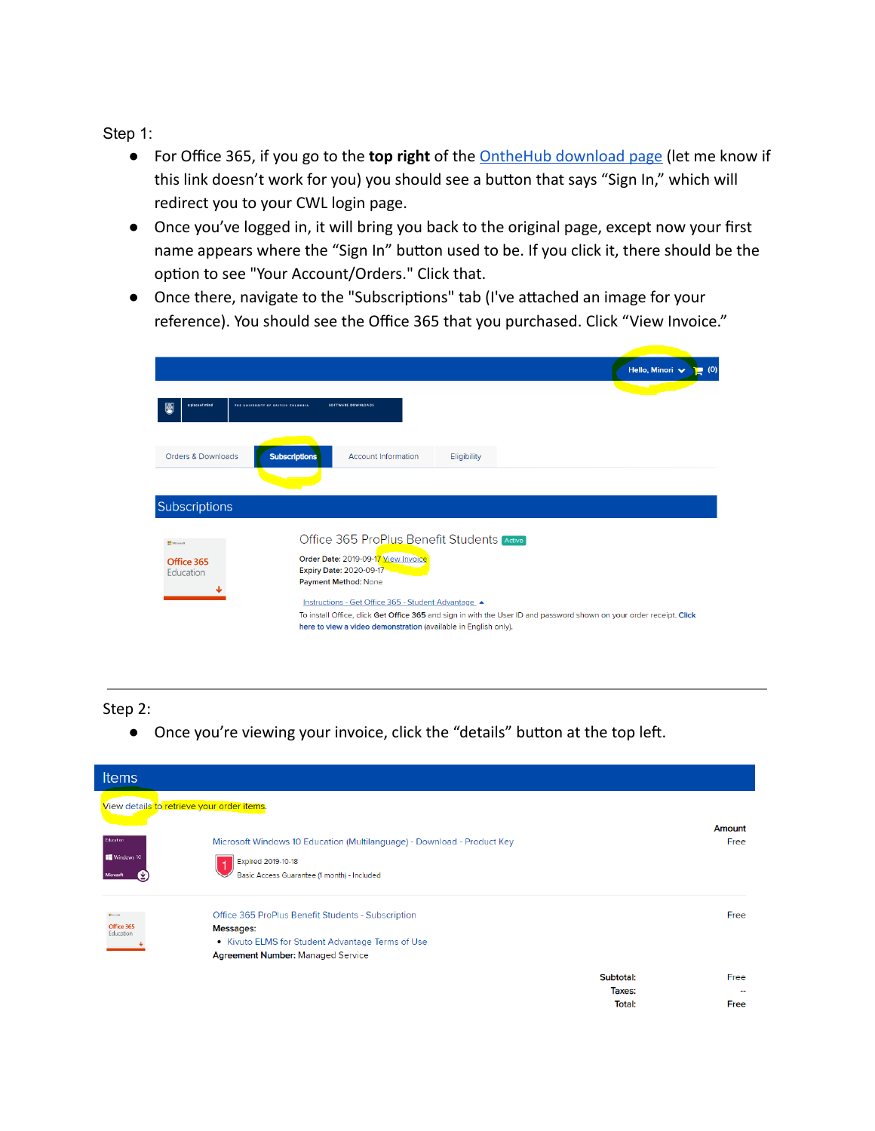Step 1:

- For Office 365, if you go to the **top right** of the [OntheHub download page](https://e5.onthehub.com/WebStore/Welcome.aspx?ws=4f259259-10e4-de11-a13b-0030487d8897&vsro=8) (let me know if this link doesn't work for you) you should see a button that says "Sign In," which will redirect you to your CWL login page.
- Once you've logged in, it will bring you back to the original page, except now your first name appears where the "Sign In" button used to be. If you click it, there should be the option to see "Your Account/Orders." Click that.
- Once there, navigate to the "Subscriptions" tab (I've attached an image for your reference). You should see the Office 365 that you purchased. Click "View Invoice."

|                                                |                                                                                                                                                                                                                                                                                                                                                                                      |                            |             |  | Hello, Minori V | ■ (0) |  |
|------------------------------------------------|--------------------------------------------------------------------------------------------------------------------------------------------------------------------------------------------------------------------------------------------------------------------------------------------------------------------------------------------------------------------------------------|----------------------------|-------------|--|-----------------|-------|--|
| a place of mind<br>吸                           | THE UNIVERSITY OF BRITISH COLUMBIA<br>SOFTWARE DOWNLOADS                                                                                                                                                                                                                                                                                                                             |                            |             |  |                 |       |  |
| Orders & Downloads                             | <b>Subscriptions</b>                                                                                                                                                                                                                                                                                                                                                                 | <b>Account Information</b> | Eligibility |  |                 |       |  |
| <b>Subscriptions</b>                           |                                                                                                                                                                                                                                                                                                                                                                                      |                            |             |  |                 |       |  |
| <b>NE</b> Microsoft<br>Office 365<br>Education | Office 365 ProPlus Benefit Students Active<br>Order Date: 2019-09-17 View Invoice<br>Expiry Date: 2020-09-17<br>Payment Method: None<br>Instructions - Get Office 365 - Student Advantage<br>To install Office, click Get Office 365 and sign in with the User ID and password shown on your order receipt. Click<br>here to view a video demonstration (available in English only). |                            |             |  |                 |       |  |

## Step 2:

• Once you're viewing your invoice, click the "details" button at the top left.

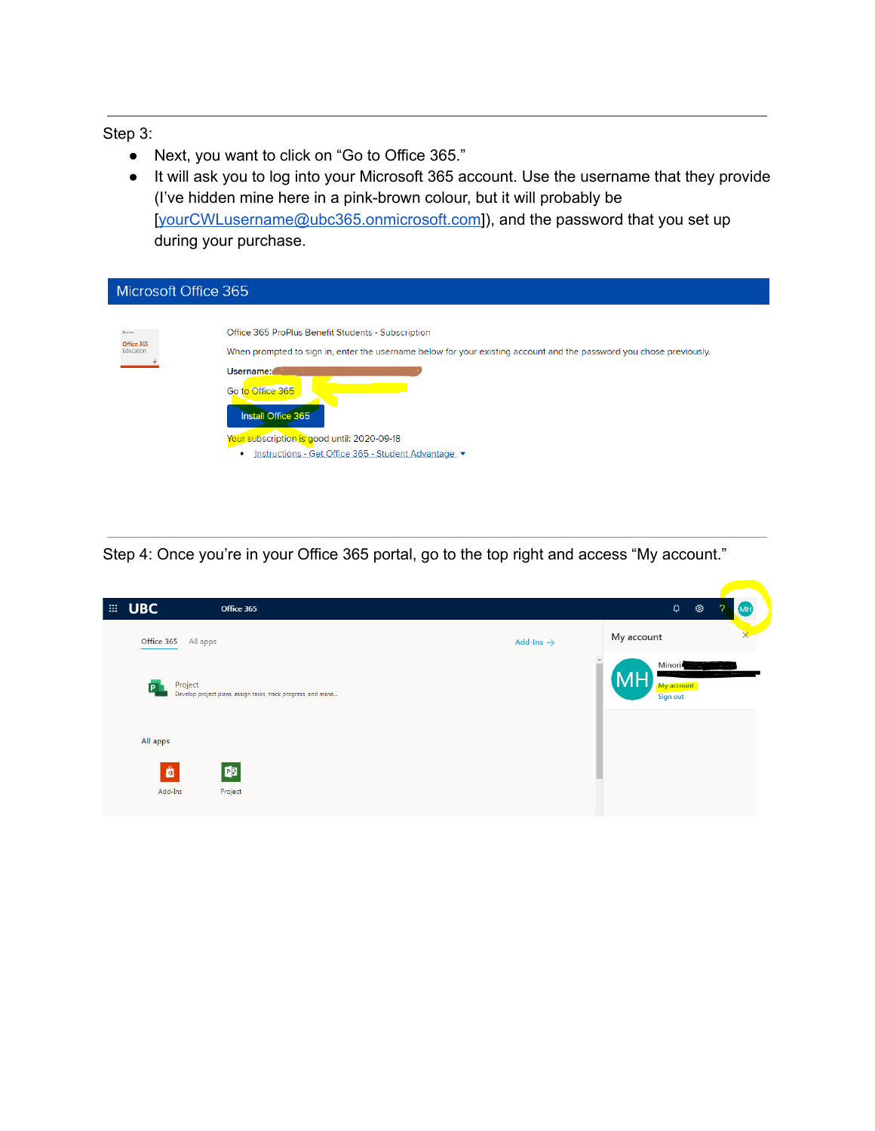## Step 3:

- Next, you want to click on "Go to Office 365."
- It will ask you to log into your Microsoft 365 account. Use the username that they provide (I've hidden mine here in a pink-brown colour, but it will probably be [\[yourCWLusername@ubc365.onmicrosoft.com\]](mailto:yourCWLusername@ubc365.onmicrosoft.com)), and the password that you set up during your purchase.

| Microsoft Office 365                       |                                                                                                                                                                                                                                                                                                                                         |  |  |  |
|--------------------------------------------|-----------------------------------------------------------------------------------------------------------------------------------------------------------------------------------------------------------------------------------------------------------------------------------------------------------------------------------------|--|--|--|
| <b>National</b><br>Office 365<br>Education | Office 365 ProPlus Benefit Students - Subscription<br>When prompted to sign in, enter the username below for your existing account and the password you chose previously.<br>Username:<br>Go to Office 365<br>Install Office 365<br>Your subscription is good until: 2020-09-18<br>Instructions - Get Office 365 - Student Advantage. ▼ |  |  |  |

Step 4: Once you're in your Office 365 portal, go to the top right and access "My account."